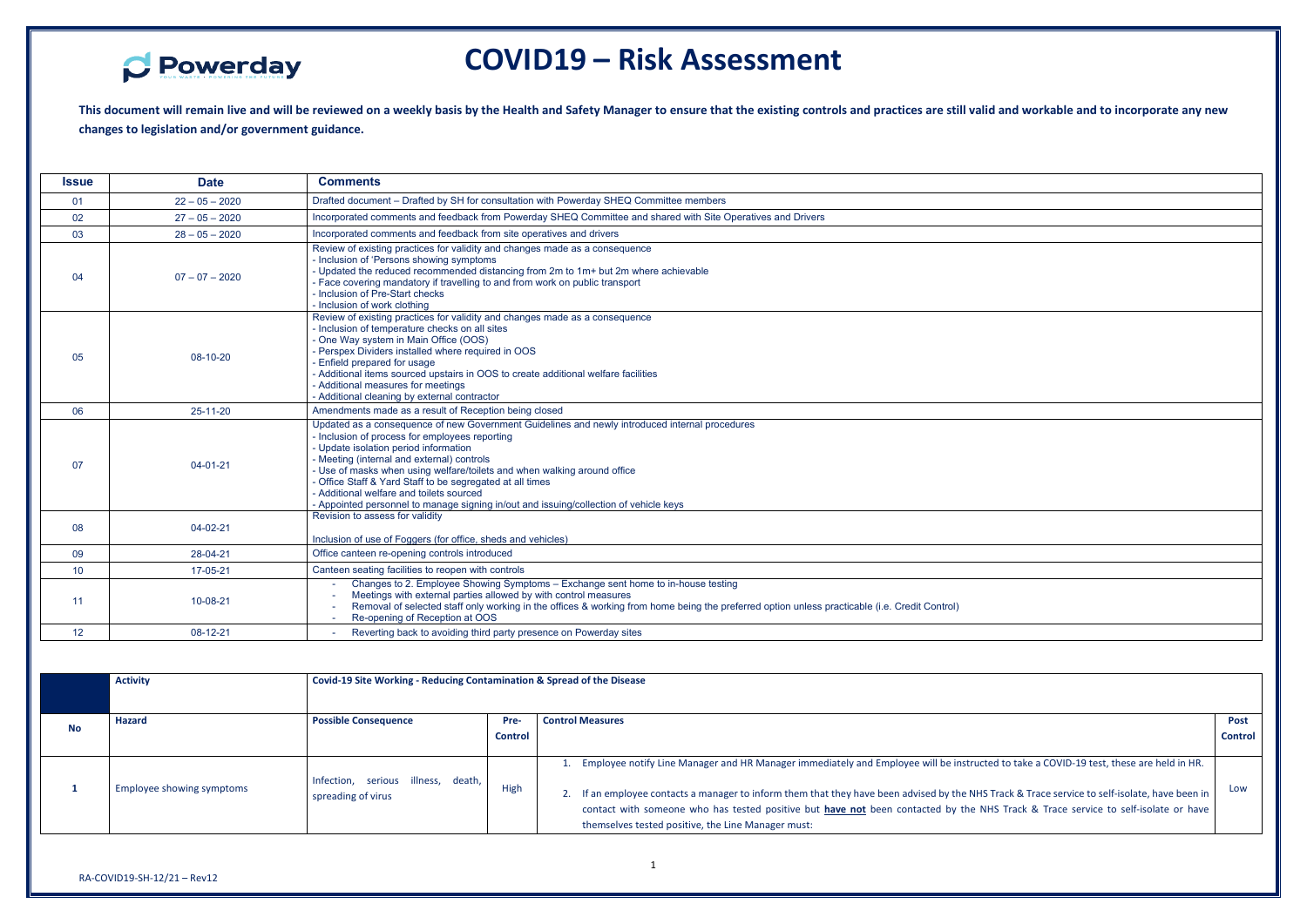

## **COVID19 – Risk Assessment**

**This document will remain live and will be reviewed on a weekly basis by the Health and Safety Manager to ensure that the existing controls and practices are still valid and workable and to incorporate any new changes to legislation and/or government guidance.** 

| <b>Issue</b> | <b>Date</b>      | <b>Comments</b>                                                                                                                                                                                                                                                                                                                                                                                                                                                                                                       |
|--------------|------------------|-----------------------------------------------------------------------------------------------------------------------------------------------------------------------------------------------------------------------------------------------------------------------------------------------------------------------------------------------------------------------------------------------------------------------------------------------------------------------------------------------------------------------|
| 01           | $22 - 05 - 2020$ | Drafted document - Drafted by SH for consultation with Powerday SHEQ Committee members                                                                                                                                                                                                                                                                                                                                                                                                                                |
| 02           | $27 - 05 - 2020$ | Incorporated comments and feedback from Powerday SHEQ Committee and shared with Site Operatives and Drivers                                                                                                                                                                                                                                                                                                                                                                                                           |
| 03           | $28 - 05 - 2020$ | Incorporated comments and feedback from site operatives and drivers                                                                                                                                                                                                                                                                                                                                                                                                                                                   |
| 04           | $07 - 07 - 2020$ | Review of existing practices for validity and changes made as a consequence<br>- Inclusion of 'Persons showing symptoms<br>- Updated the reduced recommended distancing from 2m to 1m+ but 2m where achievable<br>- Face covering mandatory if travelling to and from work on public transport<br>- Inclusion of Pre-Start checks<br>- Inclusion of work clothing                                                                                                                                                     |
| 05           | 08-10-20         | Review of existing practices for validity and changes made as a consequence<br>- Inclusion of temperature checks on all sites<br>- One Way system in Main Office (OOS)<br>- Perspex Dividers installed where required in OOS<br>- Enfield prepared for usage<br>- Additional items sourced upstairs in OOS to create additional welfare facilities<br>- Additional measures for meetings<br>- Additional cleaning by external contractor                                                                              |
| 06           | 25-11-20         | Amendments made as a result of Reception being closed                                                                                                                                                                                                                                                                                                                                                                                                                                                                 |
| 07           | $04 - 01 - 21$   | Updated as a consequence of new Government Guidelines and newly introduced internal procedures<br>- Inclusion of process for employees reporting<br>- Update isolation period information<br>- Meeting (internal and external) controls<br>- Use of masks when using welfare/toilets and when walking around office<br>- Office Staff & Yard Staff to be segregated at all times<br>- Additional welfare and toilets sourced<br>- Appointed personnel to manage signing in/out and issuing/collection of vehicle keys |
| 08           | 04-02-21         | Revision to assess for validity<br>Inclusion of use of Foggers (for office, sheds and vehicles)                                                                                                                                                                                                                                                                                                                                                                                                                       |
| 09           | 28-04-21         | Office canteen re-opening controls introduced                                                                                                                                                                                                                                                                                                                                                                                                                                                                         |
| 10           | 17-05-21         | Canteen seating facilities to reopen with controls                                                                                                                                                                                                                                                                                                                                                                                                                                                                    |
| 11           | 10-08-21         | Changes to 2. Employee Showing Symptoms - Exchange sent home to in-house testing<br>Meetings with external parties allowed by with control measures<br>Removal of selected staff only working in the offices & working from home being the preferred option unless practicable (i.e. Credit Control)<br>Re-opening of Reception at OOS                                                                                                                                                                                |
| 12           | 08-12-21         | Reverting back to avoiding third party presence on Powerday sites                                                                                                                                                                                                                                                                                                                                                                                                                                                     |

|           | <b>Activity</b>           |                                                                  | Covid-19 Site Working - Reducing Contamination & Spread of the Disease                                                                      |                                                                                                                                        |                |  |
|-----------|---------------------------|------------------------------------------------------------------|---------------------------------------------------------------------------------------------------------------------------------------------|----------------------------------------------------------------------------------------------------------------------------------------|----------------|--|
|           |                           |                                                                  |                                                                                                                                             |                                                                                                                                        |                |  |
| <b>No</b> | Hazard                    | <b>Possible Consequence</b>                                      | Pre-                                                                                                                                        | <b>Control Measures</b>                                                                                                                | <b>Post</b>    |  |
|           |                           |                                                                  | <b>Control</b>                                                                                                                              |                                                                                                                                        | <b>Control</b> |  |
|           |                           |                                                                  |                                                                                                                                             |                                                                                                                                        |                |  |
|           |                           |                                                                  |                                                                                                                                             | Employee notify Line Manager and HR Manager immediately and Employee will be instructed to take a COVID-19 test, these are held in HR. |                |  |
|           | Employee showing symptoms | Infection, serious illness, death,<br>High<br>spreading of virus |                                                                                                                                             |                                                                                                                                        |                |  |
|           |                           |                                                                  | If an employee contacts a manager to inform them that they have been advised by the NHS Track & Trace service to self-isolate, have been in | Low                                                                                                                                    |                |  |
|           |                           |                                                                  |                                                                                                                                             | contact with someone who has tested positive but have not been contacted by the NHS Track & Trace service to self-isolate or have      |                |  |
|           |                           |                                                                  |                                                                                                                                             | themselves tested positive, the Line Manager must:                                                                                     |                |  |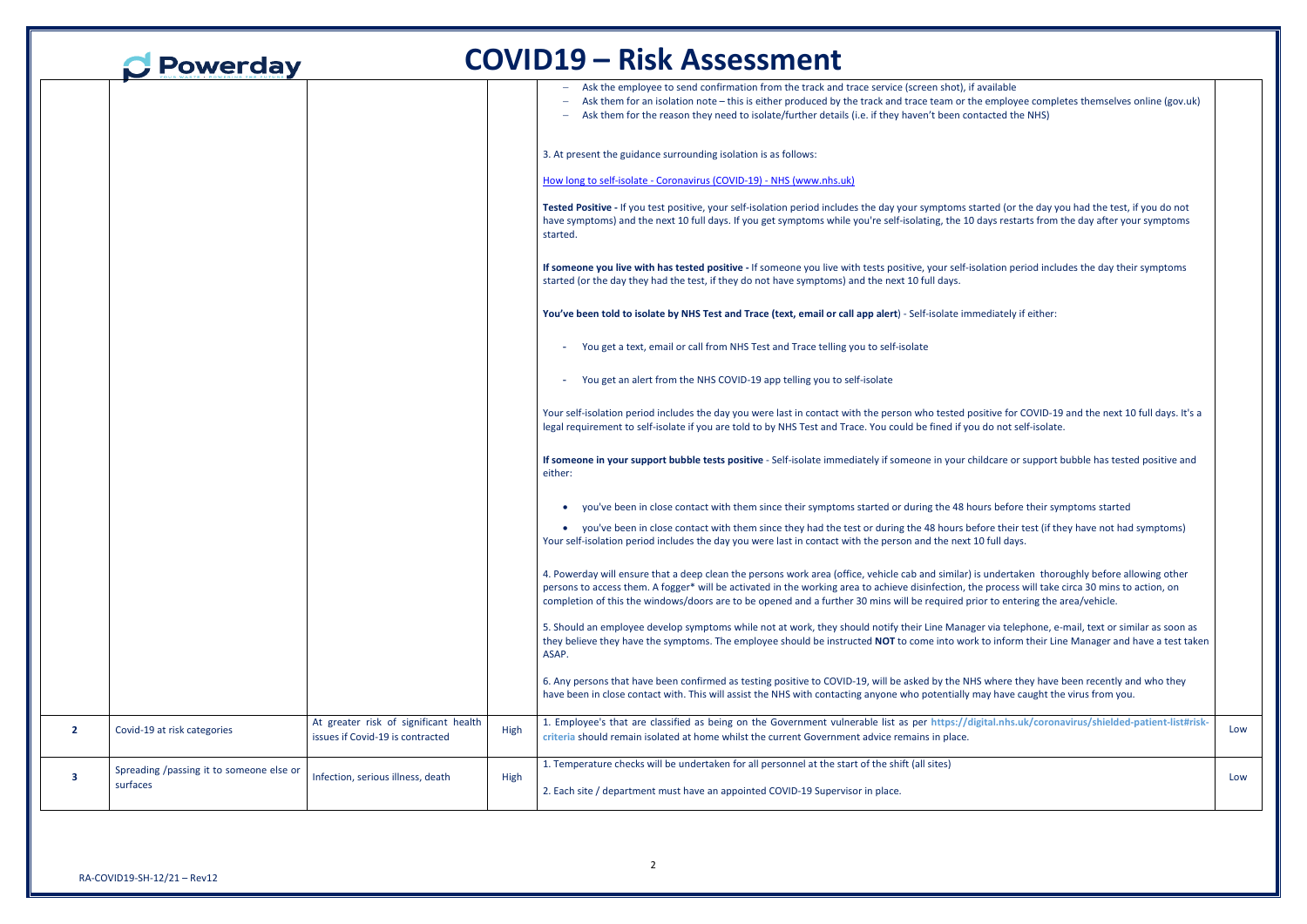|                         | Powerday                                 |                                                                           |      | <b>COVID19 - Risk Assessment</b>                                                                                                                                                                                                                                                                                                                                                                                                           |
|-------------------------|------------------------------------------|---------------------------------------------------------------------------|------|--------------------------------------------------------------------------------------------------------------------------------------------------------------------------------------------------------------------------------------------------------------------------------------------------------------------------------------------------------------------------------------------------------------------------------------------|
|                         |                                          |                                                                           |      | Ask the employee to send confirmation from the track and trace service (screen shot), if available<br>Ask them for an isolation note - this is either produced by the track and trace team or the employee completes themselves online (gov.uk)<br>Ask them for the reason they need to isolate/further details (i.e. if they haven't been contacted the NHS)                                                                              |
|                         |                                          |                                                                           |      | 3. At present the guidance surrounding isolation is as follows:                                                                                                                                                                                                                                                                                                                                                                            |
|                         |                                          |                                                                           |      | How long to self-isolate - Coronavirus (COVID-19) - NHS (www.nhs.uk)                                                                                                                                                                                                                                                                                                                                                                       |
|                         |                                          |                                                                           |      | Tested Positive - If you test positive, your self-isolation period includes the day your symptoms started (or the day you had the test, if you do not<br>have symptoms) and the next 10 full days. If you get symptoms while you're self-isolating, the 10 days restarts from the day after your symptoms<br>started.                                                                                                                      |
|                         |                                          |                                                                           |      | If someone you live with has tested positive - If someone you live with tests positive, your self-isolation period includes the day their symptoms<br>started (or the day they had the test, if they do not have symptoms) and the next 10 full days.                                                                                                                                                                                      |
|                         |                                          |                                                                           |      | You've been told to isolate by NHS Test and Trace (text, email or call app alert) - Self-isolate immediately if either:                                                                                                                                                                                                                                                                                                                    |
|                         |                                          |                                                                           |      | You get a text, email or call from NHS Test and Trace telling you to self-isolate                                                                                                                                                                                                                                                                                                                                                          |
|                         |                                          |                                                                           |      | You get an alert from the NHS COVID-19 app telling you to self-isolate                                                                                                                                                                                                                                                                                                                                                                     |
|                         |                                          |                                                                           |      | Your self-isolation period includes the day you were last in contact with the person who tested positive for COVID-19 and the next 10 full days. It's a<br>legal requirement to self-isolate if you are told to by NHS Test and Trace. You could be fined if you do not self-isolate.                                                                                                                                                      |
|                         |                                          |                                                                           |      | If someone in your support bubble tests positive - Self-isolate immediately if someone in your childcare or support bubble has tested positive and<br>either:                                                                                                                                                                                                                                                                              |
|                         |                                          |                                                                           |      | you've been in close contact with them since their symptoms started or during the 48 hours before their symptoms started                                                                                                                                                                                                                                                                                                                   |
|                         |                                          |                                                                           |      | • you've been in close contact with them since they had the test or during the 48 hours before their test (if they have not had symptoms)<br>Your self-isolation period includes the day you were last in contact with the person and the next 10 full days.                                                                                                                                                                               |
|                         |                                          |                                                                           |      | 4. Powerday will ensure that a deep clean the persons work area (office, vehicle cab and similar) is undertaken thoroughly before allowing other<br>persons to access them. A fogger* will be activated in the working area to achieve disinfection, the process will take circa 30 mins to action, on<br>completion of this the windows/doors are to be opened and a further 30 mins will be required prior to entering the area/vehicle. |
|                         |                                          |                                                                           |      | 5. Should an employee develop symptoms while not at work, they should notify their Line Manager via telephone, e-mail, text or similar as soon as<br>they believe they have the symptoms. The employee should be instructed NOT to come into work to inform their Line Manager and have a test taken<br>ASAP.                                                                                                                              |
|                         |                                          |                                                                           |      | 6. Any persons that have been confirmed as testing positive to COVID-19, will be asked by the NHS where they have been recently and who they<br>have been in close contact with. This will assist the NHS with contacting anyone who potentially may have caught the virus from you.                                                                                                                                                       |
| $\overline{2}$          | Covid-19 at risk categories              | At greater risk of significant health<br>issues if Covid-19 is contracted | High | 1. Employee's that are classified as being on the Government vulnerable list as per https://digital.nhs.uk/coronavirus/shielded-patient-list#risk-<br>criteria should remain isolated at home whilst the current Government advice remains in place.                                                                                                                                                                                       |
|                         | Spreading /passing it to someone else or |                                                                           |      | 1. Temperature checks will be undertaken for all personnel at the start of the shift (all sites)                                                                                                                                                                                                                                                                                                                                           |
| $\overline{\mathbf{3}}$ | surfaces                                 | Infection, serious illness, death                                         | High | 2. Each site / department must have an appointed COVID-19 Supervisor in place.                                                                                                                                                                                                                                                                                                                                                             |

| ailable<br>employee completes themselves online (gov.uk)                                                                      |     |
|-------------------------------------------------------------------------------------------------------------------------------|-----|
| cted the NHS)                                                                                                                 |     |
|                                                                                                                               |     |
|                                                                                                                               |     |
| ed (or the day you had the test, if you do not<br>ys restarts from the day after your symptoms                                |     |
|                                                                                                                               |     |
| tion period includes the day their symptoms                                                                                   |     |
| diately if either:                                                                                                            |     |
|                                                                                                                               |     |
|                                                                                                                               |     |
|                                                                                                                               |     |
| ive for COVID-19 and the next 10 full days. It's a<br>o not self-isolate.                                                     |     |
| care or support bubble has tested positive and                                                                                |     |
| s before their symptoms started                                                                                               |     |
| re their test (if they have not had symptoms)<br>full days.                                                                   |     |
| indertaken thoroughly before allowing other<br>process will take circa 30 mins to action, on<br>to entering the area/vehicle. |     |
| via telephone, e-mail, text or similar as soon as<br>o inform their Line Manager and have a test taken                        |     |
| vhere they have been recently and who they<br>y have caught the virus from you.                                               |     |
| al.nhs.uk/coronavirus/shielded-patient-list#risk-                                                                             | Low |
|                                                                                                                               | Low |
|                                                                                                                               |     |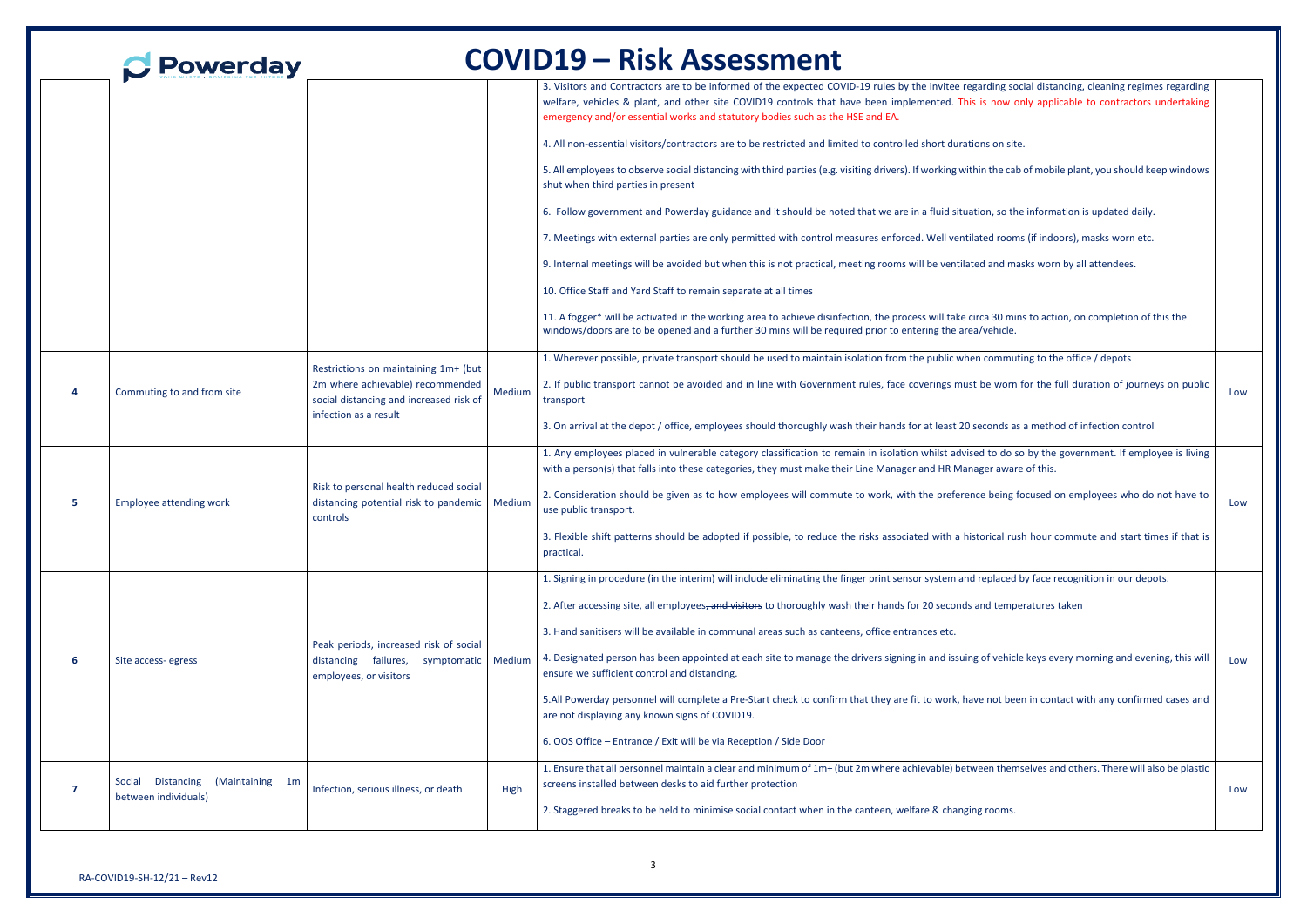| 3. Visitors and Contractors are to be informed of the expected COVID-19 rules by the invitee regarding social distancing, cleaning regimes regarding<br>welfare, vehicles & plant, and other site COVID19 controls that have been implemented. This is now only applicable to contractors undertaking<br>emergency and/or essential works and statutory bodies such as the HSE and EA.<br>4. All non-essential visitors/contractors are to be restricted and limited to controlled short durations on site.<br>5. All employees to observe social distancing with third parties (e.g. visiting drivers). If working within the cab of mobile plant, you should keep windows<br>shut when third parties in present<br>6. Follow government and Powerday guidance and it should be noted that we are in a fluid situation, so the information is updated daily.<br>7. Meetings with external parties are only permitted with control measures enforced. Well ventilated rooms (if indoors), masks worn etc.<br>9. Internal meetings will be avoided but when this is not practical, meeting rooms will be ventilated and masks worn by all attendees.<br>10. Office Staff and Yard Staff to remain separate at all times<br>11. A fogger* will be activated in the working area to achieve disinfection, the process will take circa 30 mins to action, on completion of this the<br>windows/doors are to be opened and a further 30 mins will be required prior to entering the area/vehicle.<br>1. Wherever possible, private transport should be used to maintain isolation from the public when commuting to the office / depots<br>Restrictions on maintaining 1m+ (but<br>2. If public transport cannot be avoided and in line with Government rules, face coverings must be worn for the full duration of journeys on public<br>2m where achievable) recommended<br>Medium<br>Commuting to and from site<br>Low<br>social distancing and increased risk of<br>transport<br>infection as a result<br>3. On arrival at the depot / office, employees should thoroughly wash their hands for at least 20 seconds as a method of infection control<br>1. Any employees placed in vulnerable category classification to remain in isolation whilst advised to do so by the government. If employee is living<br>with a person(s) that falls into these categories, they must make their Line Manager and HR Manager aware of this.<br>Risk to personal health reduced social<br>2. Consideration should be given as to how employees will commute to work, with the preference being focused on employees who do not have to<br><b>Employee attending work</b><br>distancing potential risk to pandemic   Medium<br>Low<br>use public transport.<br>controls<br>3. Flexible shift patterns should be adopted if possible, to reduce the risks associated with a historical rush hour commute and start times if that is<br>practical.<br>1. Signing in procedure (in the interim) will include eliminating the finger print sensor system and replaced by face recognition in our depots.<br>2. After accessing site, all employees, and visitors to thoroughly wash their hands for 20 seconds and temperatures taken<br>3. Hand sanitisers will be available in communal areas such as canteens, office entrances etc.<br>Peak periods, increased risk of social<br>4. Designated person has been appointed at each site to manage the drivers signing in and issuing of vehicle keys every morning and evening, this will<br>distancing failures, symptomatic Medium<br>-6<br>Site access-egress<br>Low<br>ensure we sufficient control and distancing.<br>employees, or visitors<br>5.All Powerday personnel will complete a Pre-Start check to confirm that they are fit to work, have not been in contact with any confirmed cases and<br>are not displaying any known signs of COVID19.<br>6. OOS Office - Entrance / Exit will be via Reception / Side Door<br>1. Ensure that all personnel maintain a clear and minimum of 1m+ (but 2m where achievable) between themselves and others. There will also be plastic<br>Distancing (Maintaining 1m<br>Social<br>screens installed between desks to aid further protection<br>Infection, serious illness, or death<br>High<br>7<br>Low<br>between individuals)<br>2. Staggered breaks to be held to minimise social contact when in the canteen, welfare & changing rooms. |  | Powerday |  | <b>COVID19 - Risk Assessment</b> |  |
|----------------------------------------------------------------------------------------------------------------------------------------------------------------------------------------------------------------------------------------------------------------------------------------------------------------------------------------------------------------------------------------------------------------------------------------------------------------------------------------------------------------------------------------------------------------------------------------------------------------------------------------------------------------------------------------------------------------------------------------------------------------------------------------------------------------------------------------------------------------------------------------------------------------------------------------------------------------------------------------------------------------------------------------------------------------------------------------------------------------------------------------------------------------------------------------------------------------------------------------------------------------------------------------------------------------------------------------------------------------------------------------------------------------------------------------------------------------------------------------------------------------------------------------------------------------------------------------------------------------------------------------------------------------------------------------------------------------------------------------------------------------------------------------------------------------------------------------------------------------------------------------------------------------------------------------------------------------------------------------------------------------------------------------------------------------------------------------------------------------------------------------------------------------------------------------------------------------------------------------------------------------------------------------------------------------------------------------------------------------------------------------------------------------------------------------------------------------------------------------------------------------------------------------------------------------------------------------------------------------------------------------------------------------------------------------------------------------------------------------------------------------------------------------------------------------------------------------------------------------------------------------------------------------------------------------------------------------------------------------------------------------------------------------------------------------------------------------------------------------------------------------------------------------------------------------------------------------------------------------------------------------------------------------------------------------------------------------------------------------------------------------------------------------------------------------------------------------------------------------------------------------------------------------------------------------------------------------------------------------------------------------------------------------------------------------------------------------------------------------------------------------------------------------------------------------------------------------------------------------------------------------------------------------------------------------------------------------------------------------------------------------------------------------------------------------------------------------------------------------------------------------------------------------------------------------------------------------------------------------------------------------------------------------------------------------------------------------------------------------------------------------------------------------------------------|--|----------|--|----------------------------------|--|
|                                                                                                                                                                                                                                                                                                                                                                                                                                                                                                                                                                                                                                                                                                                                                                                                                                                                                                                                                                                                                                                                                                                                                                                                                                                                                                                                                                                                                                                                                                                                                                                                                                                                                                                                                                                                                                                                                                                                                                                                                                                                                                                                                                                                                                                                                                                                                                                                                                                                                                                                                                                                                                                                                                                                                                                                                                                                                                                                                                                                                                                                                                                                                                                                                                                                                                                                                                                                                                                                                                                                                                                                                                                                                                                                                                                                                                                                                                                                                                                                                                                                                                                                                                                                                                                                                                                                                                                                                                  |  |          |  |                                  |  |
|                                                                                                                                                                                                                                                                                                                                                                                                                                                                                                                                                                                                                                                                                                                                                                                                                                                                                                                                                                                                                                                                                                                                                                                                                                                                                                                                                                                                                                                                                                                                                                                                                                                                                                                                                                                                                                                                                                                                                                                                                                                                                                                                                                                                                                                                                                                                                                                                                                                                                                                                                                                                                                                                                                                                                                                                                                                                                                                                                                                                                                                                                                                                                                                                                                                                                                                                                                                                                                                                                                                                                                                                                                                                                                                                                                                                                                                                                                                                                                                                                                                                                                                                                                                                                                                                                                                                                                                                                                  |  |          |  |                                  |  |
|                                                                                                                                                                                                                                                                                                                                                                                                                                                                                                                                                                                                                                                                                                                                                                                                                                                                                                                                                                                                                                                                                                                                                                                                                                                                                                                                                                                                                                                                                                                                                                                                                                                                                                                                                                                                                                                                                                                                                                                                                                                                                                                                                                                                                                                                                                                                                                                                                                                                                                                                                                                                                                                                                                                                                                                                                                                                                                                                                                                                                                                                                                                                                                                                                                                                                                                                                                                                                                                                                                                                                                                                                                                                                                                                                                                                                                                                                                                                                                                                                                                                                                                                                                                                                                                                                                                                                                                                                                  |  |          |  |                                  |  |
|                                                                                                                                                                                                                                                                                                                                                                                                                                                                                                                                                                                                                                                                                                                                                                                                                                                                                                                                                                                                                                                                                                                                                                                                                                                                                                                                                                                                                                                                                                                                                                                                                                                                                                                                                                                                                                                                                                                                                                                                                                                                                                                                                                                                                                                                                                                                                                                                                                                                                                                                                                                                                                                                                                                                                                                                                                                                                                                                                                                                                                                                                                                                                                                                                                                                                                                                                                                                                                                                                                                                                                                                                                                                                                                                                                                                                                                                                                                                                                                                                                                                                                                                                                                                                                                                                                                                                                                                                                  |  |          |  |                                  |  |
|                                                                                                                                                                                                                                                                                                                                                                                                                                                                                                                                                                                                                                                                                                                                                                                                                                                                                                                                                                                                                                                                                                                                                                                                                                                                                                                                                                                                                                                                                                                                                                                                                                                                                                                                                                                                                                                                                                                                                                                                                                                                                                                                                                                                                                                                                                                                                                                                                                                                                                                                                                                                                                                                                                                                                                                                                                                                                                                                                                                                                                                                                                                                                                                                                                                                                                                                                                                                                                                                                                                                                                                                                                                                                                                                                                                                                                                                                                                                                                                                                                                                                                                                                                                                                                                                                                                                                                                                                                  |  |          |  |                                  |  |
|                                                                                                                                                                                                                                                                                                                                                                                                                                                                                                                                                                                                                                                                                                                                                                                                                                                                                                                                                                                                                                                                                                                                                                                                                                                                                                                                                                                                                                                                                                                                                                                                                                                                                                                                                                                                                                                                                                                                                                                                                                                                                                                                                                                                                                                                                                                                                                                                                                                                                                                                                                                                                                                                                                                                                                                                                                                                                                                                                                                                                                                                                                                                                                                                                                                                                                                                                                                                                                                                                                                                                                                                                                                                                                                                                                                                                                                                                                                                                                                                                                                                                                                                                                                                                                                                                                                                                                                                                                  |  |          |  |                                  |  |
|                                                                                                                                                                                                                                                                                                                                                                                                                                                                                                                                                                                                                                                                                                                                                                                                                                                                                                                                                                                                                                                                                                                                                                                                                                                                                                                                                                                                                                                                                                                                                                                                                                                                                                                                                                                                                                                                                                                                                                                                                                                                                                                                                                                                                                                                                                                                                                                                                                                                                                                                                                                                                                                                                                                                                                                                                                                                                                                                                                                                                                                                                                                                                                                                                                                                                                                                                                                                                                                                                                                                                                                                                                                                                                                                                                                                                                                                                                                                                                                                                                                                                                                                                                                                                                                                                                                                                                                                                                  |  |          |  |                                  |  |
|                                                                                                                                                                                                                                                                                                                                                                                                                                                                                                                                                                                                                                                                                                                                                                                                                                                                                                                                                                                                                                                                                                                                                                                                                                                                                                                                                                                                                                                                                                                                                                                                                                                                                                                                                                                                                                                                                                                                                                                                                                                                                                                                                                                                                                                                                                                                                                                                                                                                                                                                                                                                                                                                                                                                                                                                                                                                                                                                                                                                                                                                                                                                                                                                                                                                                                                                                                                                                                                                                                                                                                                                                                                                                                                                                                                                                                                                                                                                                                                                                                                                                                                                                                                                                                                                                                                                                                                                                                  |  |          |  |                                  |  |
|                                                                                                                                                                                                                                                                                                                                                                                                                                                                                                                                                                                                                                                                                                                                                                                                                                                                                                                                                                                                                                                                                                                                                                                                                                                                                                                                                                                                                                                                                                                                                                                                                                                                                                                                                                                                                                                                                                                                                                                                                                                                                                                                                                                                                                                                                                                                                                                                                                                                                                                                                                                                                                                                                                                                                                                                                                                                                                                                                                                                                                                                                                                                                                                                                                                                                                                                                                                                                                                                                                                                                                                                                                                                                                                                                                                                                                                                                                                                                                                                                                                                                                                                                                                                                                                                                                                                                                                                                                  |  |          |  |                                  |  |
|                                                                                                                                                                                                                                                                                                                                                                                                                                                                                                                                                                                                                                                                                                                                                                                                                                                                                                                                                                                                                                                                                                                                                                                                                                                                                                                                                                                                                                                                                                                                                                                                                                                                                                                                                                                                                                                                                                                                                                                                                                                                                                                                                                                                                                                                                                                                                                                                                                                                                                                                                                                                                                                                                                                                                                                                                                                                                                                                                                                                                                                                                                                                                                                                                                                                                                                                                                                                                                                                                                                                                                                                                                                                                                                                                                                                                                                                                                                                                                                                                                                                                                                                                                                                                                                                                                                                                                                                                                  |  |          |  |                                  |  |
|                                                                                                                                                                                                                                                                                                                                                                                                                                                                                                                                                                                                                                                                                                                                                                                                                                                                                                                                                                                                                                                                                                                                                                                                                                                                                                                                                                                                                                                                                                                                                                                                                                                                                                                                                                                                                                                                                                                                                                                                                                                                                                                                                                                                                                                                                                                                                                                                                                                                                                                                                                                                                                                                                                                                                                                                                                                                                                                                                                                                                                                                                                                                                                                                                                                                                                                                                                                                                                                                                                                                                                                                                                                                                                                                                                                                                                                                                                                                                                                                                                                                                                                                                                                                                                                                                                                                                                                                                                  |  |          |  |                                  |  |
|                                                                                                                                                                                                                                                                                                                                                                                                                                                                                                                                                                                                                                                                                                                                                                                                                                                                                                                                                                                                                                                                                                                                                                                                                                                                                                                                                                                                                                                                                                                                                                                                                                                                                                                                                                                                                                                                                                                                                                                                                                                                                                                                                                                                                                                                                                                                                                                                                                                                                                                                                                                                                                                                                                                                                                                                                                                                                                                                                                                                                                                                                                                                                                                                                                                                                                                                                                                                                                                                                                                                                                                                                                                                                                                                                                                                                                                                                                                                                                                                                                                                                                                                                                                                                                                                                                                                                                                                                                  |  |          |  |                                  |  |
|                                                                                                                                                                                                                                                                                                                                                                                                                                                                                                                                                                                                                                                                                                                                                                                                                                                                                                                                                                                                                                                                                                                                                                                                                                                                                                                                                                                                                                                                                                                                                                                                                                                                                                                                                                                                                                                                                                                                                                                                                                                                                                                                                                                                                                                                                                                                                                                                                                                                                                                                                                                                                                                                                                                                                                                                                                                                                                                                                                                                                                                                                                                                                                                                                                                                                                                                                                                                                                                                                                                                                                                                                                                                                                                                                                                                                                                                                                                                                                                                                                                                                                                                                                                                                                                                                                                                                                                                                                  |  |          |  |                                  |  |
|                                                                                                                                                                                                                                                                                                                                                                                                                                                                                                                                                                                                                                                                                                                                                                                                                                                                                                                                                                                                                                                                                                                                                                                                                                                                                                                                                                                                                                                                                                                                                                                                                                                                                                                                                                                                                                                                                                                                                                                                                                                                                                                                                                                                                                                                                                                                                                                                                                                                                                                                                                                                                                                                                                                                                                                                                                                                                                                                                                                                                                                                                                                                                                                                                                                                                                                                                                                                                                                                                                                                                                                                                                                                                                                                                                                                                                                                                                                                                                                                                                                                                                                                                                                                                                                                                                                                                                                                                                  |  |          |  |                                  |  |
|                                                                                                                                                                                                                                                                                                                                                                                                                                                                                                                                                                                                                                                                                                                                                                                                                                                                                                                                                                                                                                                                                                                                                                                                                                                                                                                                                                                                                                                                                                                                                                                                                                                                                                                                                                                                                                                                                                                                                                                                                                                                                                                                                                                                                                                                                                                                                                                                                                                                                                                                                                                                                                                                                                                                                                                                                                                                                                                                                                                                                                                                                                                                                                                                                                                                                                                                                                                                                                                                                                                                                                                                                                                                                                                                                                                                                                                                                                                                                                                                                                                                                                                                                                                                                                                                                                                                                                                                                                  |  |          |  |                                  |  |
|                                                                                                                                                                                                                                                                                                                                                                                                                                                                                                                                                                                                                                                                                                                                                                                                                                                                                                                                                                                                                                                                                                                                                                                                                                                                                                                                                                                                                                                                                                                                                                                                                                                                                                                                                                                                                                                                                                                                                                                                                                                                                                                                                                                                                                                                                                                                                                                                                                                                                                                                                                                                                                                                                                                                                                                                                                                                                                                                                                                                                                                                                                                                                                                                                                                                                                                                                                                                                                                                                                                                                                                                                                                                                                                                                                                                                                                                                                                                                                                                                                                                                                                                                                                                                                                                                                                                                                                                                                  |  |          |  |                                  |  |
|                                                                                                                                                                                                                                                                                                                                                                                                                                                                                                                                                                                                                                                                                                                                                                                                                                                                                                                                                                                                                                                                                                                                                                                                                                                                                                                                                                                                                                                                                                                                                                                                                                                                                                                                                                                                                                                                                                                                                                                                                                                                                                                                                                                                                                                                                                                                                                                                                                                                                                                                                                                                                                                                                                                                                                                                                                                                                                                                                                                                                                                                                                                                                                                                                                                                                                                                                                                                                                                                                                                                                                                                                                                                                                                                                                                                                                                                                                                                                                                                                                                                                                                                                                                                                                                                                                                                                                                                                                  |  |          |  |                                  |  |
|                                                                                                                                                                                                                                                                                                                                                                                                                                                                                                                                                                                                                                                                                                                                                                                                                                                                                                                                                                                                                                                                                                                                                                                                                                                                                                                                                                                                                                                                                                                                                                                                                                                                                                                                                                                                                                                                                                                                                                                                                                                                                                                                                                                                                                                                                                                                                                                                                                                                                                                                                                                                                                                                                                                                                                                                                                                                                                                                                                                                                                                                                                                                                                                                                                                                                                                                                                                                                                                                                                                                                                                                                                                                                                                                                                                                                                                                                                                                                                                                                                                                                                                                                                                                                                                                                                                                                                                                                                  |  |          |  |                                  |  |
|                                                                                                                                                                                                                                                                                                                                                                                                                                                                                                                                                                                                                                                                                                                                                                                                                                                                                                                                                                                                                                                                                                                                                                                                                                                                                                                                                                                                                                                                                                                                                                                                                                                                                                                                                                                                                                                                                                                                                                                                                                                                                                                                                                                                                                                                                                                                                                                                                                                                                                                                                                                                                                                                                                                                                                                                                                                                                                                                                                                                                                                                                                                                                                                                                                                                                                                                                                                                                                                                                                                                                                                                                                                                                                                                                                                                                                                                                                                                                                                                                                                                                                                                                                                                                                                                                                                                                                                                                                  |  |          |  |                                  |  |
|                                                                                                                                                                                                                                                                                                                                                                                                                                                                                                                                                                                                                                                                                                                                                                                                                                                                                                                                                                                                                                                                                                                                                                                                                                                                                                                                                                                                                                                                                                                                                                                                                                                                                                                                                                                                                                                                                                                                                                                                                                                                                                                                                                                                                                                                                                                                                                                                                                                                                                                                                                                                                                                                                                                                                                                                                                                                                                                                                                                                                                                                                                                                                                                                                                                                                                                                                                                                                                                                                                                                                                                                                                                                                                                                                                                                                                                                                                                                                                                                                                                                                                                                                                                                                                                                                                                                                                                                                                  |  |          |  |                                  |  |
|                                                                                                                                                                                                                                                                                                                                                                                                                                                                                                                                                                                                                                                                                                                                                                                                                                                                                                                                                                                                                                                                                                                                                                                                                                                                                                                                                                                                                                                                                                                                                                                                                                                                                                                                                                                                                                                                                                                                                                                                                                                                                                                                                                                                                                                                                                                                                                                                                                                                                                                                                                                                                                                                                                                                                                                                                                                                                                                                                                                                                                                                                                                                                                                                                                                                                                                                                                                                                                                                                                                                                                                                                                                                                                                                                                                                                                                                                                                                                                                                                                                                                                                                                                                                                                                                                                                                                                                                                                  |  |          |  |                                  |  |
|                                                                                                                                                                                                                                                                                                                                                                                                                                                                                                                                                                                                                                                                                                                                                                                                                                                                                                                                                                                                                                                                                                                                                                                                                                                                                                                                                                                                                                                                                                                                                                                                                                                                                                                                                                                                                                                                                                                                                                                                                                                                                                                                                                                                                                                                                                                                                                                                                                                                                                                                                                                                                                                                                                                                                                                                                                                                                                                                                                                                                                                                                                                                                                                                                                                                                                                                                                                                                                                                                                                                                                                                                                                                                                                                                                                                                                                                                                                                                                                                                                                                                                                                                                                                                                                                                                                                                                                                                                  |  |          |  |                                  |  |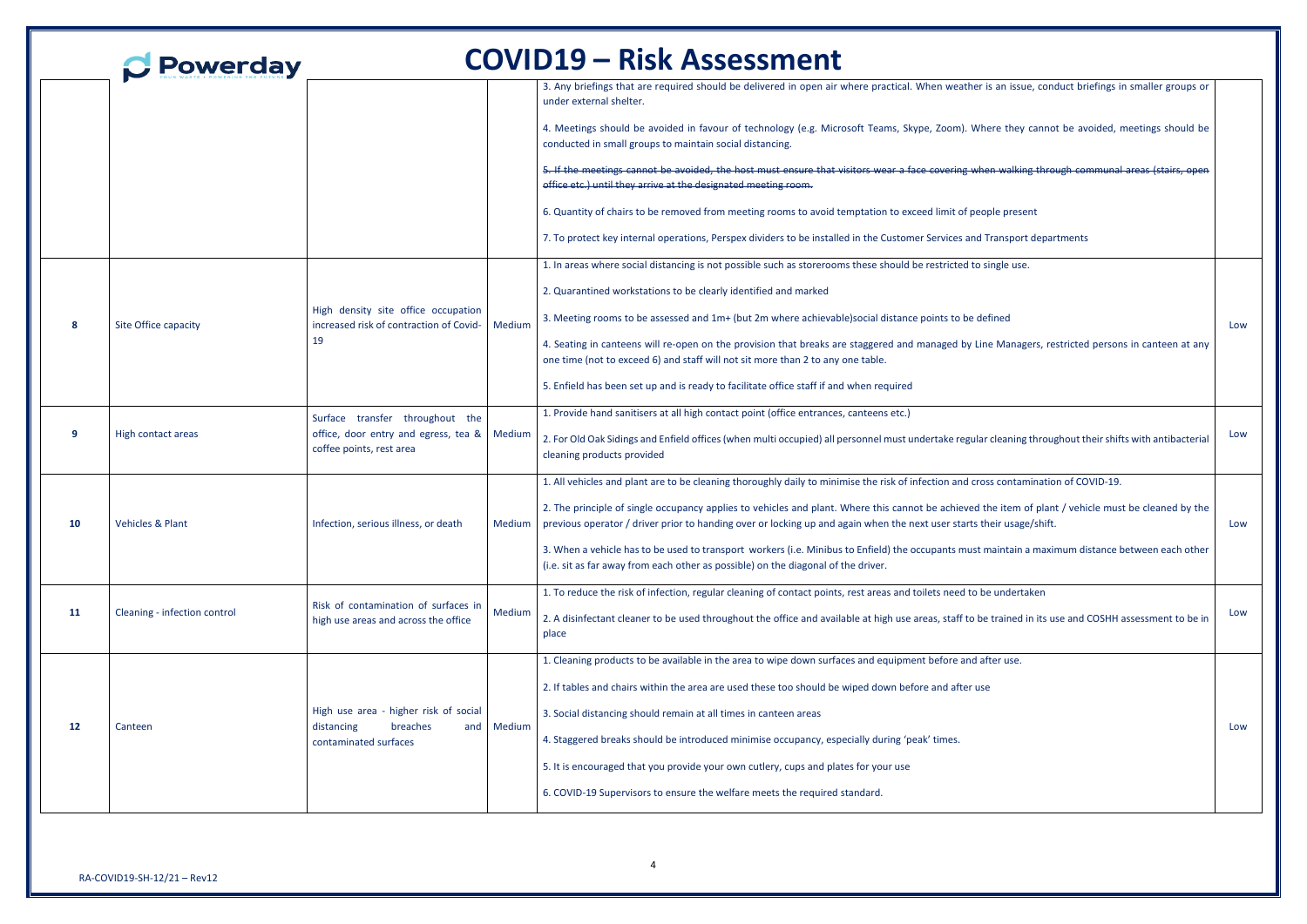|    | <b>Powerday</b>              |                                                                                                        | <b>COVID19 - Risk Assessment</b>                                                                                                                                                                                                                                                       |     |
|----|------------------------------|--------------------------------------------------------------------------------------------------------|----------------------------------------------------------------------------------------------------------------------------------------------------------------------------------------------------------------------------------------------------------------------------------------|-----|
|    |                              |                                                                                                        | 3. Any briefings that are required should be delivered in open air where practical. When weather is an issue, conduct briefings in smaller groups or<br>under external shelter.                                                                                                        |     |
|    |                              |                                                                                                        | 4. Meetings should be avoided in favour of technology (e.g. Microsoft Teams, Skype, Zoom). Where they cannot be avoided, meetings should be<br>conducted in small groups to maintain social distancing.                                                                                |     |
|    |                              |                                                                                                        | 5. If the meetings cannot be avoided, the host must ensure that visitors wear a face covering when walking through communal areas (stairs, open<br>office etc.) until they arrive at the designated meeting room.                                                                      |     |
|    |                              |                                                                                                        | 6. Quantity of chairs to be removed from meeting rooms to avoid temptation to exceed limit of people present                                                                                                                                                                           |     |
|    |                              |                                                                                                        | 7. To protect key internal operations, Perspex dividers to be installed in the Customer Services and Transport departments                                                                                                                                                             |     |
|    |                              |                                                                                                        | 1. In areas where social distancing is not possible such as storerooms these should be restricted to single use.                                                                                                                                                                       |     |
|    |                              |                                                                                                        | 2. Quarantined workstations to be clearly identified and marked                                                                                                                                                                                                                        |     |
| -8 | Site Office capacity         | High density site office occupation<br>increased risk of contraction of Covid-<br>Medium               | 3. Meeting rooms to be assessed and 1m+ (but 2m where achievable) social distance points to be defined                                                                                                                                                                                 | Low |
|    |                              | 19                                                                                                     | 4. Seating in canteens will re-open on the provision that breaks are staggered and managed by Line Managers, restricted persons in canteen at any<br>one time (not to exceed 6) and staff will not sit more than 2 to any one table.                                                   |     |
|    |                              |                                                                                                        | 5. Enfield has been set up and is ready to facilitate office staff if and when required                                                                                                                                                                                                |     |
|    |                              | Surface transfer throughout the                                                                        | 1. Provide hand sanitisers at all high contact point (office entrances, canteens etc.)                                                                                                                                                                                                 |     |
| -9 | High contact areas           | office, door entry and egress, tea &   Medium<br>coffee points, rest area                              | 2. For Old Oak Sidings and Enfield offices (when multi occupied) all personnel must undertake regular cleaning throughout their shifts with antibacterial<br>cleaning products provided                                                                                                | Low |
|    |                              |                                                                                                        | 1. All vehicles and plant are to be cleaning thoroughly daily to minimise the risk of infection and cross contamination of COVID-19.                                                                                                                                                   |     |
| 10 | <b>Vehicles &amp; Plant</b>  | Infection, serious illness, or death                                                                   | 2. The principle of single occupancy applies to vehicles and plant. Where this cannot be achieved the item of plant / vehicle must be cleaned by the<br>Medium   previous operator / driver prior to handing over or locking up and again when the next user starts their usage/shift. | Low |
|    |                              |                                                                                                        | 3. When a vehicle has to be used to transport workers (i.e. Minibus to Enfield) the occupants must maintain a maximum distance between each other<br>(i.e. sit as far away from each other as possible) on the diagonal of the driver.                                                 |     |
|    |                              | Risk of contamination of surfaces in                                                                   | 1. To reduce the risk of infection, regular cleaning of contact points, rest areas and toilets need to be undertaken                                                                                                                                                                   |     |
| 11 | Cleaning - infection control | Medium<br>high use areas and across the office                                                         | 2. A disinfectant cleaner to be used throughout the office and available at high use areas, staff to be trained in its use and COSHH assessment to be in<br>place                                                                                                                      | Low |
|    |                              |                                                                                                        | 1. Cleaning products to be available in the area to wipe down surfaces and equipment before and after use.                                                                                                                                                                             |     |
|    |                              | High use area - higher risk of social<br>and Medium<br>distancing<br>breaches<br>contaminated surfaces | 2. If tables and chairs within the area are used these too should be wiped down before and after use                                                                                                                                                                                   |     |
|    | Canteen                      |                                                                                                        | 3. Social distancing should remain at all times in canteen areas                                                                                                                                                                                                                       |     |
| 12 |                              |                                                                                                        | 4. Staggered breaks should be introduced minimise occupancy, especially during 'peak' times.                                                                                                                                                                                           | Low |
|    |                              |                                                                                                        | 5. It is encouraged that you provide your own cutlery, cups and plates for your use                                                                                                                                                                                                    |     |
|    |                              |                                                                                                        | 6. COVID-19 Supervisors to ensure the welfare meets the required standard.                                                                                                                                                                                                             |     |
|    |                              |                                                                                                        |                                                                                                                                                                                                                                                                                        |     |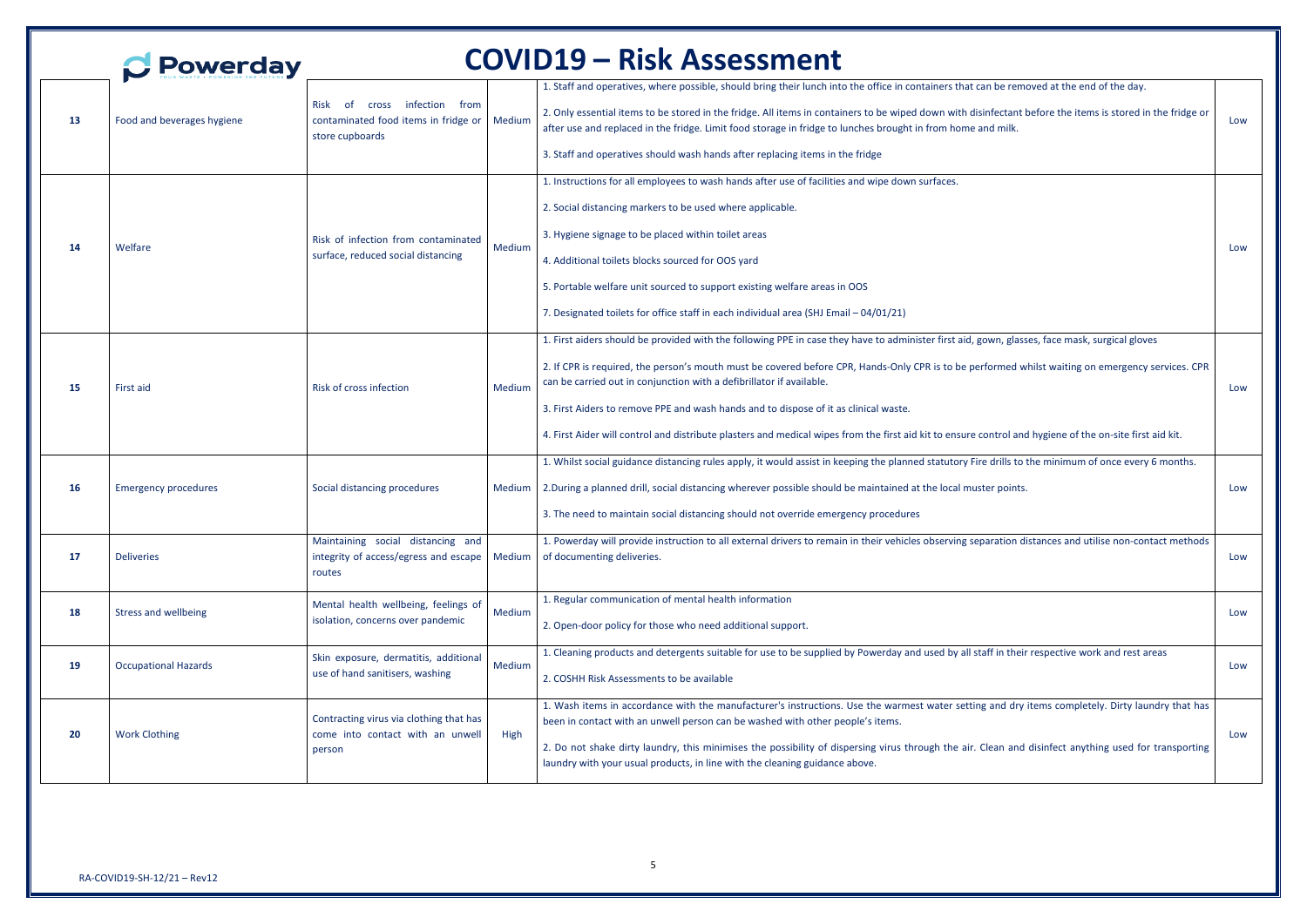|           | <b>Powerday</b>             |                                                                                                                         |        | <b>COVID19 – Risk Assessment</b>                                                                                                                                                                                                                                                                                                                                                                                                                                                                                                                                                                                                |     |
|-----------|-----------------------------|-------------------------------------------------------------------------------------------------------------------------|--------|---------------------------------------------------------------------------------------------------------------------------------------------------------------------------------------------------------------------------------------------------------------------------------------------------------------------------------------------------------------------------------------------------------------------------------------------------------------------------------------------------------------------------------------------------------------------------------------------------------------------------------|-----|
| -13       | Food and beverages hygiene  | infection from<br><b>Risk</b><br>of<br><b>Cross</b><br>contaminated food items in fridge or   Medium<br>store cupboards |        | 1. Staff and operatives, where possible, should bring their lunch into the office in containers that can be removed at the end of the day.<br>2. Only essential items to be stored in the fridge. All items in containers to be wiped down with disinfectant before the items is stored in the fridge or<br>after use and replaced in the fridge. Limit food storage in fridge to lunches brought in from home and milk.<br>3. Staff and operatives should wash hands after replacing items in the fridge                                                                                                                       | Low |
| -14       | Welfare                     | Risk of infection from contaminated<br>surface, reduced social distancing                                               | Medium | 1. Instructions for all employees to wash hands after use of facilities and wipe down surfaces.<br>2. Social distancing markers to be used where applicable.<br>3. Hygiene signage to be placed within toilet areas<br>4. Additional toilets blocks sourced for OOS yard<br>5. Portable welfare unit sourced to support existing welfare areas in OOS<br>7. Designated toilets for office staff in each individual area (SHJ Email - 04/01/21)                                                                                                                                                                                  | Low |
| -15       | First aid                   | Risk of cross infection                                                                                                 | Medium | 1. First aiders should be provided with the following PPE in case they have to administer first aid, gown, glasses, face mask, surgical gloves<br>2. If CPR is required, the person's mouth must be covered before CPR, Hands-Only CPR is to be performed whilst waiting on emergency services. CPR<br>can be carried out in conjunction with a defibrillator if available.<br>3. First Aiders to remove PPE and wash hands and to dispose of it as clinical waste.<br>4. First Aider will control and distribute plasters and medical wipes from the first aid kit to ensure control and hygiene of the on-site first aid kit. | Low |
| <b>16</b> | <b>Emergency procedures</b> | Social distancing procedures                                                                                            | Medium | 1. Whilst social guidance distancing rules apply, it would assist in keeping the planned statutory Fire drills to the minimum of once every 6 months.<br>2. During a planned drill, social distancing wherever possible should be maintained at the local muster points.<br>3. The need to maintain social distancing should not override emergency procedures                                                                                                                                                                                                                                                                  | Low |
| 17        | <b>Deliveries</b>           | Maintaining social distancing and<br>integrity of access/egress and escape   Medium<br>routes                           |        | 1. Powerday will provide instruction to all external drivers to remain in their vehicles observing separation distances and utilise non-contact methods<br>of documenting deliveries.                                                                                                                                                                                                                                                                                                                                                                                                                                           | Low |
| 18        | <b>Stress and wellbeing</b> | Mental health wellbeing, feelings of<br>isolation, concerns over pandemic                                               | Medium | 1. Regular communication of mental health information<br>2. Open-door policy for those who need additional support.                                                                                                                                                                                                                                                                                                                                                                                                                                                                                                             | Low |
| 19        | <b>Occupational Hazards</b> | Skin exposure, dermatitis, additional<br>use of hand sanitisers, washing                                                | Medium | 1. Cleaning products and detergents suitable for use to be supplied by Powerday and used by all staff in their respective work and rest areas<br>2. COSHH Risk Assessments to be available                                                                                                                                                                                                                                                                                                                                                                                                                                      | Low |
| 20        | <b>Work Clothing</b>        | Contracting virus via clothing that has<br>come into contact with an unwell<br>person                                   | High   | 1. Wash items in accordance with the manufacturer's instructions. Use the warmest water setting and dry items completely. Dirty laundry that has<br>been in contact with an unwell person can be washed with other people's items.<br>2. Do not shake dirty laundry, this minimises the possibility of dispersing virus through the air. Clean and disinfect anything used for transporting<br>laundry with your usual products, in line with the cleaning guidance above.                                                                                                                                                      | Low |